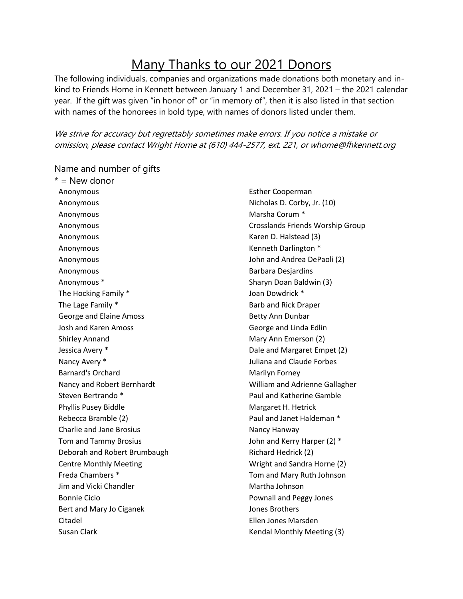## Many Thanks to our 2021 Donors

The following individuals, companies and organizations made donations both monetary and inkind to Friends Home in Kennett between January 1 and December 31, 2021 – the 2021 calendar year. If the gift was given "in honor of" or "in memory of", then it is also listed in that section with names of the honorees in bold type, with names of donors listed under them.

We strive for accuracy but regrettably sometimes make errors. If you notice a mistake or omission, please contact Wright Horne at (610) 444-2577, ext. 221, or whorne@fhkennett.org

## $* =$  New donor Anonymous Anonymous Anonymous Anonymous Anonymous Anonymous Anonymous Anonymous Anonymous \* The Hocking Family \* The Lage Family \* George and Elaine Amoss Josh and Karen Amoss Shirley Annand Jessica Avery \* Nancy Avery \* Barnard's Orchard Nancy and Robert Bernhardt Steven Bertrando \* Phyllis Pusey Biddle Rebecca Bramble (2) Charlie and Jane Brosius Tom and Tammy Brosius Deborah and Robert Brumbaugh Centre Monthly Meeting Freda Chambers \* Jim and Vicki Chandler Bonnie Cicio Bert and Mary Jo Ciganek Citadel Esther Cooperman Nicholas D. Corby, Jr. (10) Marsha Corum \* Crosslands Friends Worship Group Karen D. Halstead (3) Kenneth Darlington \* John and Andrea DePaoli (2) Barbara Desjardins Sharyn Doan Baldwin (3) Joan Dowdrick \* Barb and Rick Draper Betty Ann Dunbar George and Linda Edlin Mary Ann Emerson (2) Dale and Margaret Empet (2) Juliana and Claude Forbes Marilyn Forney William and Adrienne Gallagher Paul and Katherine Gamble Margaret H. Hetrick Paul and Janet Haldeman \* Nancy Hanway John and Kerry Harper (2) \* Richard Hedrick (2) Wright and Sandra Horne (2) Tom and Mary Ruth Johnson Martha Johnson Pownall and Peggy Jones Jones Brothers Ellen Jones Marsden

Kendal Monthly Meeting (3)

## Name and number of gifts

Susan Clark